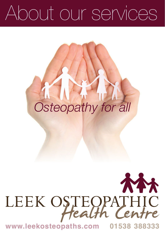# About our services

# *Osteopathy for all*

# **NH** LEEK OSTEOPATHIC

**www.leekosteopaths.com 01538 388333**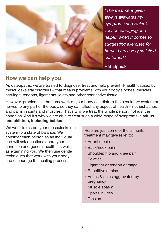

Pat Elphick

### **How we can help you**

As osteopaths, we are trained to diagnose, treat and help prevent ill-health caused by musculoskeletal disorders – that means problems with your body's bones, muscles, cartilage, tendons, ligaments, joints and other connective tissue.

However, problems in the framework of your body can disturb the circulatory system or nerves to any part of the body, so they can affect any aspect of health – not just aches and pains in joints and muscles. That's why we treat the whole person, not just the condition. And it's why we are able to treat such a wide range of symptoms in **adults and children, including babies**.

We work to restore your musculoskeletal system to a state of balance. We consider each person as an individual and will ask questions about your condition and general health, as well as examining you. We then use gentle techniques that work with your body and encourage the healing process.

Here are just some of the ailments treatment may give relief to:

- Arthritic pain
- Back/neck pain
- Shoulder, hip and knee pain
- • Sciatica
- • Ligament or tendon damage
- Repetitive strains
- Aches & pains aggravated by pregnancy
- Muscle spasm
- Sports injuries
- • Tension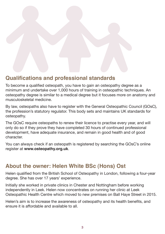# **Qualifications and professional standards**

To become a qualified osteopath, you have to gain an osteopathy degree as a minimum and undertake over 1,000 hours of training in osteopathic techniques. An osteopathy degree is similar to a medical degree but it focuses more on anatomy and musculoskeletal medicine.

By law, osteopaths also have to register with the General Osteopathic Council (GOsC), the profession's statutory regulator. This body sets and maintains UK standards for osteopathy.

The GOsC require osteopaths to renew their licence to practise every year, and will only do so if they prove they have completed 30 hours of continued professional development, have adequate insurance, and remain in good health and of good character.

You can always check if an osteopath is registered by searching the GOsC's online register at **www.osteopathy.org.uk**.

### **About the owner: Helen White BSc (Hons) Ost**

Helen qualified from the British School of Osteopathy in London, following a four-year degree. She has over 17 years' experience.

Initially she worked in private clinics in Chester and Nottingham before working independently in Leek. Helen now concentrates on running her clinic at Leek Osteopathic Health Centre which moved to new premises on Ball Haye Street in 2015.

Helen's aim is to increase the awareness of osteopathy and its health benefits, and ensure it is affordable and available to all.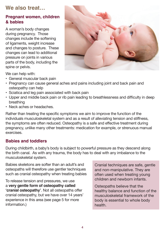# **We also treat…**

#### **Pregnant women, children & babies**

A woman's body changes during pregnancy. Those changes include the softening of ligaments, weight increase and changes to posture. These changes can lead to additional pressure on joints in various parts of the body, including the spine or pelvis.



We can help with:

- • General muscular back pain
- Pregnancy can cause general aches and pains including joint and back pain and osteopathy can help
- Sciatica and leg pain associated with back pain
- • Upper and middle back pain or rib pain leading to breathlessness and difficulty in deep breathing
- Neck aches or headaches.

Rather than treating the specific symptoms we aim to improve the function of the individuals musculoskeletal system and as a result of alleviating tension and stiffness, the symptoms are often reduced. Osteopathy is a safe and effective treatment during pregnancy, unlike many other treatments: medication for example, or strenuous manual exercises.

#### **Babies and toddlers**

During childbirth, a baby's body is subject to powerful pressure as they descend along the birth canal. As with any trauma, the body has to deal with any imbalance to the musculoskeletal system.

Babies skeletons are softer than an adult's and osteopaths will therefore use gentler techniques such as cranial osteopathy when treating babies

To release tension and pressures, we use a **very gentle form of osteopathy called 'cranial osteopathy'**. Not all osteopaths offer cranial osteopathy, but we have over 14 years' experience in this area (see page 5 for more information.)

Cranial techniques are safe, gentle and non-manipulative. They are often used when treating young children and newborn infants.

Osteopaths believe that the healthy balance and function of the musculoskeletal framework of the body is essential to whole body health.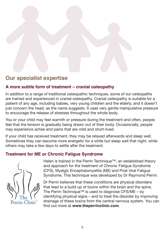

# **Our specialist expertise**

#### **A more subtle form of treatment – cranial osteopathy**

In addition to a range of traditional osteopathic techniques, some of our osteopaths are trained and experienced in cranial osteopathy. Cranial osteopathy is suitable for a patient of any age, including babies, very young children and the elderly, and it doesn't just concern the head, as the name suggests. It uses very gentle manipulative pressure to encourage the release of stresses throughout the whole body.

You or your child may feel warmth or pressure during the treatment and often, people feel that the tension is gradually being drawn out of their body. Occasionally, people may experience aches and pains that are mild and short-lived.

If your child has received treatment, they may be relaxed afterwards and sleep well. Sometimes they can become more energetic for a while but sleep well that night, while others may take a few days to settle after the treatment.

#### **Treatment for ME or Chronic Fatigue Syndrome**



Helen is trained in the Perrin Technique™, an established theory and approach for the treatment of Chronic Fatigue Syndrome (CFS), Myalgic Encephalomyelitis (ME) and Post Viral Fatigue Syndrome. This technique was developed by Dr Raymond Perrin.

Dr Perrin believes that these conditions are physical disorders that lead to a build up of toxins within the brain and the spine. The Perrin Technique™ is used to diagnose CFS/ME – by identifying physical signs – and to treat the disorder by improving drainage of these toxins from the central nervous system. You can find out more at **www.theperrinclinic.com**.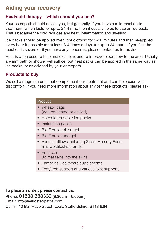# **Aiding your recovery**

#### **Heat/cold therapy – which should you use?**

Your osteopath should advise you, but generally, if you have a mild reaction to treatment, which lasts for up to 24-48hrs, then it usually helps to use an ice pack. That's because the cold reduces any heat, inflammation and swelling.

Ice packs should be applied over light clothing for 5-10 minutes and then re-applied every hour if possible (or at least 3-4 times a day), for up to 24 hours. If you feel the reaction is severe or if you have any concerns, please contact us for advice.

Heat is often used to help muscles relax and to improve blood flow to the area. Usually, a warm bath or shower will suffice, but heat packs can be applied in the same way as ice packs, or as advised by your osteopath.

#### **Products to buy**

We sell a range of items that complement our treatment and can help ease your discomfort. If you need more information about any of these products, please ask.

| Product                                                                  |
|--------------------------------------------------------------------------|
| • Wheaty bags<br>(can be heated or chilled)                              |
| • Hot/cold reusable ice packs                                            |
| • Instant ice packs                                                      |
| • Bio Freeze roll-on gel                                                 |
| • Bio Freeze tube gel                                                    |
| • Various pillows including Sissel Memory Foam<br>and Goldilocks brands. |
| $\bullet$ Fmu balm<br>(to massage into the skin)                         |
| • Lamberts Healthcare supplements                                        |
| • Foot/arch support and various joint supports                           |
|                                                                          |

#### **To place an order, please contact us:**

Phone: 01538 388333 (8.30am – 6.00pm) Email: info@leekosteopaths.com Call in: 13 Ball Haye Street, Leek, Staffordshire, ST13 6JN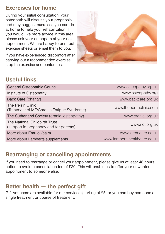# **Exercises for home**

During your initial consultation, your osteopath will discuss your prognosis and may suggest exercises you can do at home to help your rehabilitation. If you would like more advice in this area, please ask your osteopath at your next appointment. We are happy to print out exercise sheets or email them to you.

If you have experienced discomfort after carrying out a recommended exercise, stop the exercise and contact us.



# **Useful links**

| General Osteopathic Council                                             | www.osteopathy.org.uk        |
|-------------------------------------------------------------------------|------------------------------|
| Institute of Osteopathy                                                 | www.osteopathy.org           |
| Back Care (charity)                                                     | www.backcare.org.uk          |
| The Perrin Clinic<br>(Treatment of ME/Chronic Fatigue Syndrome)         | www.theperrinclinic.com      |
| The Sutherland Society (cranial osteopathy)                             | www.cranial.org.uk           |
| The National Childbirth Trust<br>(support in pregnancy and for parents) | www.nct.org.uk               |
| More about Emu oil/balm                                                 | www.loremcare.co.uk          |
| More about Lamberts supplements                                         | www.lambertshealthcare.co.uk |

# **Rearranging or cancelling appointments**

If you need to rearrange or cancel your appointment, please give us at least 48 hours notice to avoid a cancellation fee of £20. This will enable us to offer your unwanted appointment to someone else.

### **Better health — the perfect gift**

Gift Vouchers are available for our services (starting at £5) or you can buy someone a single treatment or course of treatment.